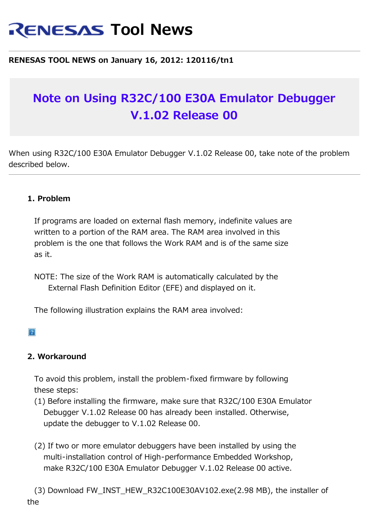# **RENESAS Tool News**

# **RENESAS TOOL NEWS on January 16, 2012: 120116/tn1**

# **Note on Using R32C/100 E30A Emulator Debugger V.1.02 Release 00**

When using R32C/100 E30A Emulator Debugger V.1.02 Release 00, take note of the problem described below.

## **1. Problem**

 If programs are loaded on external flash memory, indefinite values are written to a portion of the RAM area. The RAM area involved in this problem is the one that follows the Work RAM and is of the same size as it.

 NOTE: The size of the Work RAM is automatically calculated by the External Flash Definition Editor (EFE) and displayed on it.

The following illustration explains the RAM area involved:

#### $|2|$

## **2. Workaround**

 To avoid this problem, install the problem-fixed firmware by following these steps:

- (1) Before installing the firmware, make sure that R32C/100 E30A Emulator Debugger V.1.02 Release 00 has already been installed. Otherwise, update the debugger to V.1.02 Release 00.
- (2) If two or more emulator debuggers have been installed by using the multi-installation control of High-performance Embedded Workshop, make R32C/100 E30A Emulator Debugger V.1.02 Release 00 active.

 (3) Download FW\_INST\_HEW\_R32C100E30AV102.exe(2.98 MB), the installer of the